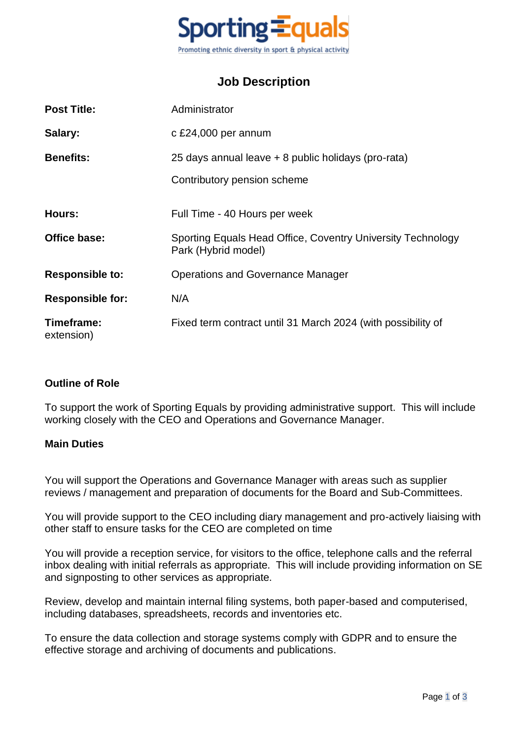

## **Job Description**

| <b>Post Title:</b>       | Administrator                                                                      |  |
|--------------------------|------------------------------------------------------------------------------------|--|
| Salary:                  | c £24,000 per annum                                                                |  |
| <b>Benefits:</b>         | 25 days annual leave + 8 public holidays (pro-rata)                                |  |
|                          | Contributory pension scheme                                                        |  |
| <b>Hours:</b>            | Full Time - 40 Hours per week                                                      |  |
| Office base:             | Sporting Equals Head Office, Coventry University Technology<br>Park (Hybrid model) |  |
| <b>Responsible to:</b>   | <b>Operations and Governance Manager</b>                                           |  |
| <b>Responsible for:</b>  | N/A                                                                                |  |
| Timeframe:<br>extension) | Fixed term contract until 31 March 2024 (with possibility of                       |  |

## **Outline of Role**

To support the work of Sporting Equals by providing administrative support. This will include working closely with the CEO and Operations and Governance Manager.

## **Main Duties**

You will support the Operations and Governance Manager with areas such as supplier reviews / management and preparation of documents for the Board and Sub-Committees.

You will provide support to the CEO including diary management and pro-actively liaising with other staff to ensure tasks for the CEO are completed on time

You will provide a reception service, for visitors to the office, telephone calls and the referral inbox dealing with initial referrals as appropriate. This will include providing information on SE and signposting to other services as appropriate.

Review, develop and maintain internal filing systems, both paper-based and computerised, including databases, spreadsheets, records and inventories etc.

To ensure the data collection and storage systems comply with GDPR and to ensure the effective storage and archiving of documents and publications.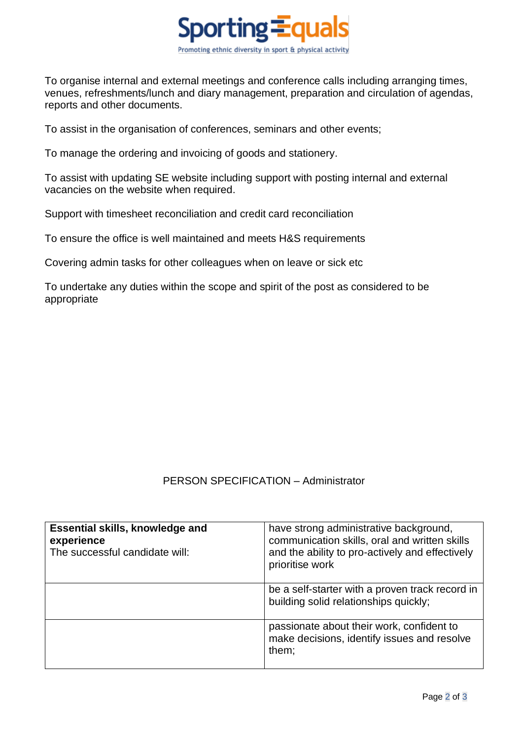

To organise internal and external meetings and conference calls including arranging times, venues, refreshments/lunch and diary management, preparation and circulation of agendas, reports and other documents.

To assist in the organisation of conferences, seminars and other events;

To manage the ordering and invoicing of goods and stationery.

To assist with updating SE website including support with posting internal and external vacancies on the website when required.

Support with timesheet reconciliation and credit card reconciliation

To ensure the office is well maintained and meets H&S requirements

Covering admin tasks for other colleagues when on leave or sick etc

To undertake any duties within the scope and spirit of the post as considered to be appropriate

## PERSON SPECIFICATION – Administrator

| <b>Essential skills, knowledge and</b><br>experience<br>The successful candidate will: | have strong administrative background,<br>communication skills, oral and written skills<br>and the ability to pro-actively and effectively<br>prioritise work |
|----------------------------------------------------------------------------------------|---------------------------------------------------------------------------------------------------------------------------------------------------------------|
|                                                                                        | be a self-starter with a proven track record in<br>building solid relationships quickly;                                                                      |
|                                                                                        | passionate about their work, confident to<br>make decisions, identify issues and resolve<br>them;                                                             |